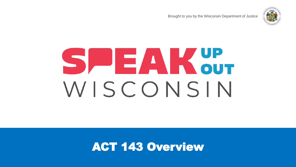Brought to you by the Wisconsin Department of Justice



# S DE A K OUT WISCONSIN

ACT 143 Overview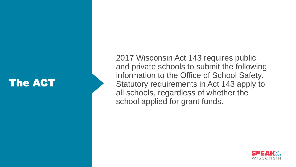# The ACT

2017 Wisconsin Act 143 requires public and private schools to submit the following information to the Office of School Safety. Statutory requirements in Act 143 apply to all schools, regardless of whether the school applied for grant funds.

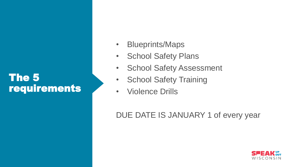## The 5 requirements

- Blueprints/Maps
- School Safety Plans
- School Safety Assessment
- School Safety Training
- Violence Drills

DUE DATE IS JANUARY 1 of every year

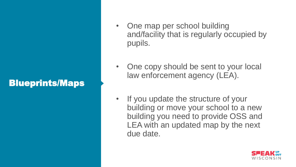#### Blueprints/Maps

- One map per school building and/facility that is regularly occupied by pupils.
- One copy should be sent to your local law enforcement agency (LEA).
- If you update the structure of your building or move your school to a new building you need to provide OSS and LEA with an updated map by the next due date.

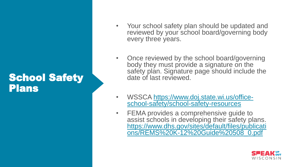#### School Safety Plans

- Your school safety plan should be updated and reviewed by your school board/governing body every three years.
- Once reviewed by the school board/governing body they must provide a signature on the safety plan. Signature page should include the date of last reviewed.
- [WSSCA https://www.doj.state.wi.us/office](https://www.doj.state.wi.us/office-school-safety/school-safety-resources)school-safety/school-safety-resources
- FEMA provides a comprehensive guide to assist schools in developing their safety plans. https://www.dhs.gov/sites/default/files/publicati [ons/REMS%20K-12%20Guide%20508\\_0.pdf](https://www.dhs.gov/sites/default/files/publications/REMS%20K-12%20Guide%20508_0.pdf)

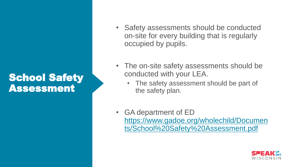# School Safety Assessment

- Safety assessments should be conducted on-site for every building that is regularly occupied by pupils.
- The on-site safety assessments should be conducted with your LEA.
	- The safety assessment should be part of the safety plan.
- GA department of ED https://www.gadoe.org/wholechild/Documen [ts/School%20Safety%20Assessment.pdf](https://www.gadoe.org/wholechild/Documents/School%20Safety%20Assessment.pdf)

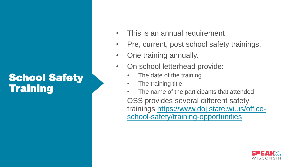# **School Safety Training**

- This is an annual requirement
- Pre, current, post school safety trainings.
- One training annually.
- On school letterhead provide:
	- The date of the training
	- The training title
	- The name of the participants that attended OSS provides several different safety [trainings https://www.doj.state.wi.us/office](https://www.doj.state.wi.us/office-school-safety/training-opportunities)school-safety/training-opportunities

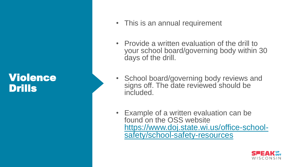#### Violence Drills



- Provide a written evaluation of the drill to your school board/governing body within 30 days of the drill.
- School board/governing body reviews and signs off. The date reviewed should be included.
- Example of a written evaluation can be found on the OSS website [https://www.doj.state.wi.us/office-school](https://www.doj.state.wi.us/office-school-safety/school-safety-resources)safety/school-safety-resources

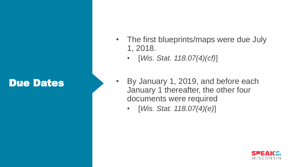# Due Dates



- [*Wis. Stat. 118.07(4)(cf)*]
- By January 1, 2019, and before each January 1 thereafter, the other four documents were required
	- [*Wis. Stat. 118.07(4)(e)*]

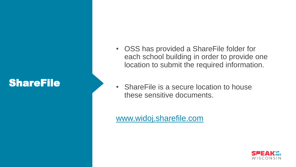# ShareFile

- OSS has provided a ShareFile folder for each school building in order to provide one location to submit the required information.
- ShareFile is a secure location to house these sensitive documents.

#### [www.widoj.sharefile.com](http://www.widoj.sharefile.com/)

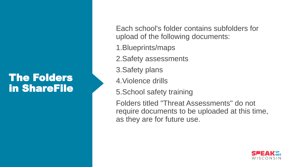## The Folders in ShareFile

Each school's folder contains subfolders for upload of the following documents:

1.Blueprints/maps

2.Safety assessments

3.Safety plans

4.Violence drills

5.School safety training

Folders titled "Threat Assessments" do not require documents to be uploaded at this time, as they are for future use.

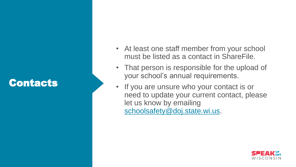# Contacts

- At least one staff member from your school must be listed as a contact in ShareFile.
- That person is responsible for the upload of your school's annual requirements.
- If you are unsure who your contact is or need to update your current contact, please let us know by emailing [schoolsafety@doj.state.wi.us](mailto:schoolsafety@doj.state.wi.us).

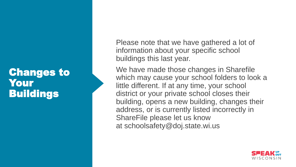## Changes to Your **Buildings**

Please note that we have gathered a lot of information about your specific school buildings this last year.

We have made those changes in Sharefile which may cause your school folders to look a little different. If at any time, your school district or your private school closes their building, opens a new building, changes their address, or is currently listed incorrectly in ShareFile please let us know at schoolsafety@doj.state.wi.us